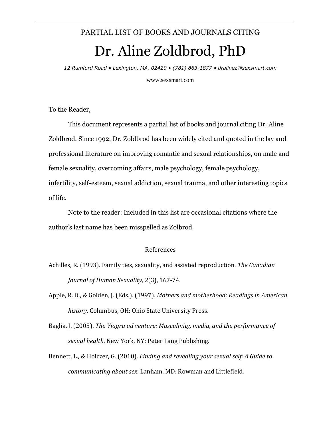## PARTIAL LIST OF BOOKS AND JOURNALS CITING Dr. Aline Zoldbrod, PhD

*12 Rumford Road • Lexington, MA. 02420 • (781) 863-1877 • dralinez@sexsmart.com*

www.sexsmart.com

To the Reader,

This document represents a partial list of books and journal citing Dr. Aline Zoldbrod. Since 1992, Dr. Zoldbrod has been widely cited and quoted in the lay and professional literature on improving romantic and sexual relationships, on male and female sexuality, overcoming affairs, male psychology, female psychology, infertility, self-esteem, sexual addiction, sexual trauma, and other interesting topics of life.

Note to the reader: Included in this list are occasional citations where the author's last name has been misspelled as Zolbrod.

## References

- Achilles, R*.* (1993). Family ties*,* sexuality, and assisted reproduction*. The Canadian Journal of Human Sexuality, 2*(3), 167-74.
- Apple, R. D., & Golden, J. (Eds.). (1997). *Mothers and motherhood: Readings in American history*. Columbus, OH: Ohio State University Press.
- Baglia, J. (2005). *The Viagra ad venture: Masculinity, media, and the performance of sexual health*. New York, NY: Peter Lang Publishing.
- Bennett, L., & Holczer, G. (2010). *Finding and revealing your sexual self: A Guide to communicating about sex*. Lanham, MD: Rowman and Littlefield.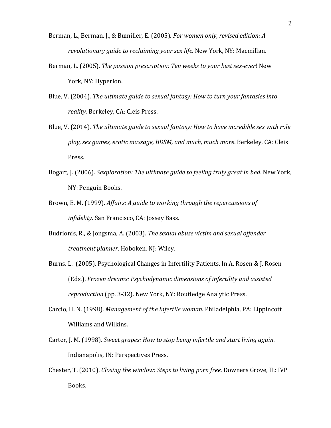- Berman, L., Berman, J., & Bumiller, E. (2005). *For women only, revised edition: A revolutionary guide to reclaiming your sex life*. New York, NY: Macmillan.
- Berman, L. (2005). *The passion prescription: Ten weeks to your best sex-ever*! New York, NY: Hyperion.
- Blue, V. (2004). *The ultimate guide to sexual fantasy: How to turn your fantasies into reality*. Berkeley, CA: Cleis Press.
- Blue, V. (2014). *The ultimate guide to sexual fantasy: How to have incredible sex with role play, sex games, erotic massage, BDSM, and much, much more*. Berkeley, CA: Cleis Press.
- Bogart, J. (2006). *Sexploration: The ultimate guide to feeling truly great in bed*. New York, NY: Penguin Books.
- Brown, E. M. (1999). *Affairs: A guide to working through the repercussions of infidelity*. San Francisco, CA: Jossey Bass.
- Budrionis, R., & Jongsma, A. (2003). *The sexual abuse victim and sexual offender treatment planner*. Hoboken, NJ: Wiley.
- Burns. L. (2005). Psychological Changes in Infertility Patients. In A. Rosen & J. Rosen (Eds.), *Frozen dreams: Psychodynamic dimensions of infertility and assisted reproduction* (pp. 3-32). New York, NY: Routledge Analytic Press.
- Carcio, H. N. (1998). *Management of the infertile woman*. Philadelphia, PA: Lippincott Williams and Wilkins.
- Carter, J. M. (1998). *Sweet grapes: How to stop being infertile and start living again*. Indianapolis, IN: Perspectives Press.
- Chester, T. (2010). *Closing the window: Steps to living porn free*. Downers Grove, IL: IVP Books.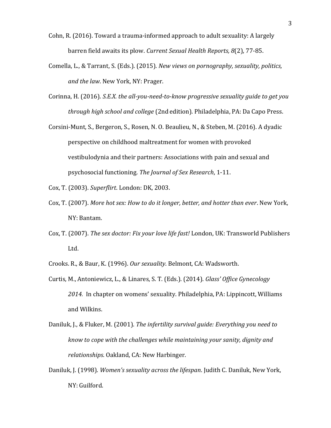- Cohn, R. (2016). Toward a trauma-informed approach to adult sexuality: A largely barren field awaits its plow. *Current Sexual Health Reports, 8*(2), 77-85.
- Comella, L., & Tarrant, S. (Eds.). (2015). *New views on pornography, sexuality, politics, and the law*. New York, NY: Prager.
- Corinna, H. (2016). *S.E.X. the all-you-need-to-know progressive sexuality guide to get you through high school and college* (2nd edition). Philadelphia, PA: Da Capo Press.
- Corsini-Munt, S., Bergeron, S., Rosen, N. O. Beaulieu, N., & Steben, M. (2016). A dyadic perspective on childhood maltreatment for women with provoked vestibulodynia and their partners: Associations with pain and sexual and psychosocial functioning. *The Journal of Sex Research*, 1-11.
- Cox, T. (2003). *Superflirt*. London: DK, 2003.
- Cox, T. (2007). *More hot sex: How to do it longer, better, and hotter than ever*. New York, NY: Bantam.
- Cox, T. (2007). *The sex doctor: Fix your love life fast!* London, UK: Transworld Publishers Ltd.
- Crooks. R., & Baur, K. (1996). *Our sexuality*. Belmont, CA: Wadsworth.
- Curtis, M., Antoniewicz, L., & Linares, S. T. (Eds.). (2014). *Glass' Office Gynecology 2014.* In chapter on womens' sexuality. Philadelphia, PA: Lippincott, Williams and Wilkins.
- Daniluk, J., & Fluker, M. (2001). *The infertility survival guide: Everything you need to know to cope with the challenges while maintaining your sanity, dignity and relationships*. Oakland, CA: New Harbinger.
- Daniluk, J. (1998). *Women's sexuality across the lifespan*. Judith C. Daniluk, New York, NY: Guilford.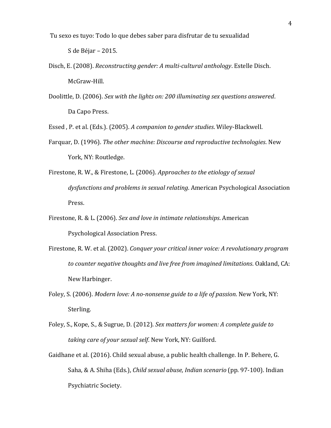[Tu sexo es tuyo: Todo lo que debes saber para disfrutar de tu sexualidad](https://books.google.com/books?hl=en&lr=&id=PZkZCgAAQBAJ&oi=fnd&pg=PT3&ots=bnppDMhMBs&sig=OslyXI0Ar8T6kggDg6wPDZlaiUQ)

S de Béjar – 2015.

- Disch, E. (2008). *Reconstructing gender: A multi-cultural anthology*. Estelle Disch. McGraw-Hill.
- Doolittle, D. (2006). *Sex with the lights on: 200 illuminating sex questions answered*. Da Capo Press.

Essed , P. et al. (Eds.). (2005). *A companion to gender studies*. Wiley-Blackwell.

- Farquar, D. (1996). *The other machine: Discourse and reproductive technologies*. New York, NY: Routledge.
- Firestone, R. W., & Firestone, L. (2006). *Approaches to the etiology of sexual dysfunctions and problems in sexual relating*. American Psychological Association Press.
- Firestone, R. & L. (2006). *Sex and love in intimate relationships*. American Psychological Association Press.
- Firestone, R. W. et al. (2002). *Conquer your critical inner voice: A revolutionary program to counter negative thoughts and live free from imagined limitations*. Oakland, CA: New Harbinger.
- Foley, S. (2006). *Modern love: A no-nonsense guide to a life of passion*. New York, NY: Sterling.
- Foley, S., Kope, S., & Sugrue, D. (2012). *Sex matters for women: A complete guide to taking care of your sexual self*. New York, NY: Guilford.
- Gaidhane et al. (2016). Child sexual abuse, a public health challenge. In P. Behere, G. Saha, & A. Shiha (Eds.), *Child sexual abuse, Indian scenario* (pp. 97-100). Indian Psychiatric Society.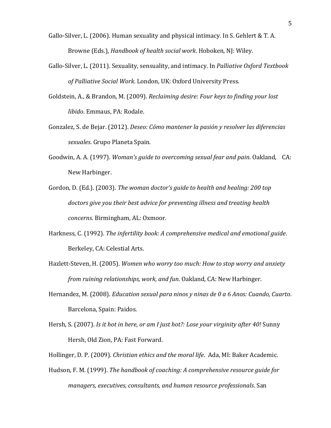- Gallo-Silver, L. (2006). Human sexuality and physical intimacy. In S. Gehlert & T. A. Browne (Eds.), *Handbook of health social work*. Hoboken, NJ: Wiley.
- Gallo-Silver, L. (2011). Sexuality, sensuality, and intimacy. In *Palliative Oxford Textbook of Palliative Social Work*. London, UK: Oxford University Press.
- Goldstein, A., & Brandon, M. (2009). *Reclaiming desire: Four keys to finding your lost libido*. Emmaus, PA: Rodale.
- Gonzalez, S. de Bejar. (2012). *Deseo: Cómo mantener la pasión y resolver las diferencias sexuales*. Grupo Planeta Spain.
- Goodwin, A. A. (1997). *Woman's guide to overcoming sexual fear and pain*. Oakland, CA: New Harbinger.
- Gordon, D. (Ed.). (2003). *The woman doctor's guide to health and healing: 200 top doctors give you their best advice for preventing illness and treating health concerns*. Birmingham, AL: Oxmoor.
- Harkness, C. (1992). *The infertility book: A comprehensive medical and emotional guide*. Berkeley, CA: Celestial Arts.
- Hazlett-Steven, H. (2005). *Women who worry too much: How to stop worry and anxiety from ruining relationships, work, and fun*. Oakland, CA: New Harbinger.
- Hernandez, M. (2008). *Education sexual para ninos y ninas de 0 a 6 Anos: Cuando, Cuarto*. Barcelona, Spain: Paidos.
- Hersh, S. (2007). *Is it hot in here, or am I just hot?: Lose your virginity after 40!* Sunny Hersh, Old Zion, PA: Fast Forward.
- Hollinger, D. P. (2009). *Christian ethics and the moral life*. Ada, MI: Baker Academic.
- Hudson, F. M. (1999). *The handbook of coaching: A comprehensive resource guide for managers, executives, consultants, and human resource professionals*. San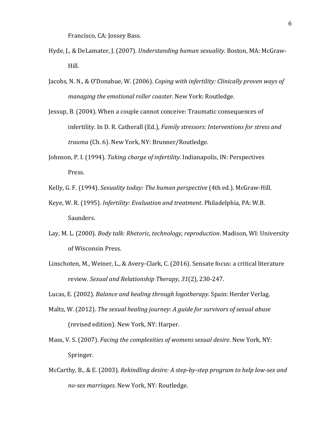Francisco, CA: Jossey Bass.

- Hyde, J., & DeLamater, J. (2007). *Understanding human sexuality*. Boston, MA: McGraw-Hill.
- Jacobs, N. N., & O'Donahue, W. (2006). *Coping with infertility: Clinically proven ways of managing the emotional roller coaster*. New York: Routledge.
- Jessup, B. (2004). When a couple cannot conceive: Traumatic consequences of infertility. In D. R. Catherall (Ed.), *Family stressors: Interventions for stress and trauma* (Ch. 6). New York, NY: Brunner/Routledge.
- Johnson, P. I. (1994). *Taking charge of infertility*. Indianapolis, IN: Perspectives Press.
- Kelly, G. F. (1994). *Sexuality today: The human perspective* (4th ed.). McGraw-Hill.
- Keye, W. R. (1995). *Infertility: Evaluation and treatment*. Philadelphia, PA: W.B. Saunders.
- Lay, M. L. (2000). *Body talk: Rhetoric, technology, reproduction*. Madison, WI: University of Wisconsin Press.
- Linschoten, M., Weiner, L., & Avery-Clark, C. (2016). Sensate focus: a critical literature review. *Sexual and Relationship Therapy, 31*(2), 230-247.

Lucas, E. (2002). *Balance and healing through logotherapy*. Spain: Herder Verlag.

- Maltz, W. (2012). *The sexual healing journey: A guide for survivors of sexual abuse* (revised edition). New York, NY: Harper.
- Mass, V. S. (2007). *Facing the complexities of womens sexual desire*. New York, NY: Springer.
- McCarthy, B., & E. (2003). *Rekindling desire: A step-by-step program to help low-sex and no-sex marriages*. New York, NY: Routledge.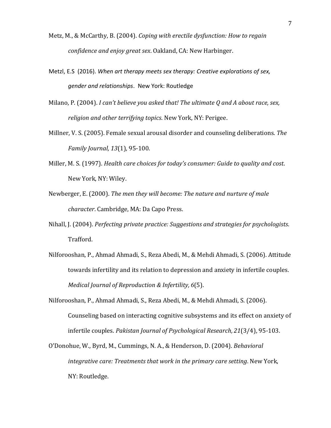- Metz, M., & McCarthy, B. (2004). *Coping with erectile dysfunction: How to regain confidence and enjoy great sex*. Oakland, CA: New Harbinger.
- Metzl, E.S (2016). *When art therapy meets sex therapy: Creative explorations of sex, gender and relationships*. New York: Routledge
- Milano, P. (2004). *I can't believe you asked that! The ultimate Q and A about race, sex, religion and other terrifying topics*. New York, NY: Perigee.
- Millner, V. S. (2005). Female sexual arousal disorder and counseling deliberations. *The Family Journal, 13*(1), 95-100.
- Miller, M. S. (1997). *Health care choices for today's consumer: Guide to quality and cost*. New York, NY: Wiley.
- Newberger, E. (2000). *The men they will become: The nature and nurture of male character*. Cambridge, MA: Da Capo Press.
- Nihall, J. (2004). *Perfecting private practice: Suggestions and strategies for psychologists*. Trafford.
- Nilforooshan, P., Ahmad Ahmadi, S., Reza Abedi, M., & Mehdi Ahmadi, S. (2006). Attitude towards infertility and its relation to depression and anxiety in infertile couples. *Medical Journal of Reproduction & Infertility, 6*(5).
- Nilforooshan, P., Ahmad Ahmadi, S., Reza Abedi, M., & Mehdi Ahmadi, S. (2006). Counseling based on interacting cognitive subsystems and its effect on anxiety of infertile couples. *Pakistan Journal of Psychological Research, 21*(3/4), 95-103.
- O'Donohue, W., Byrd, M., Cummings, N. A., & Henderson, D. (2004). *Behavioral integrative care: Treatments that work in the primary care setting*. New York, NY: Routledge.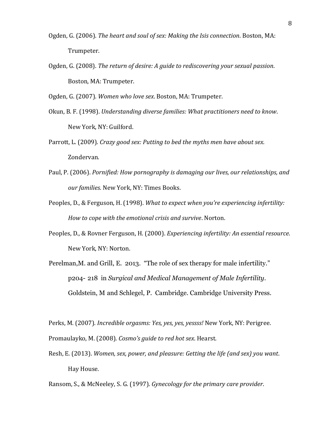- Ogden, G. (2006). *The heart and soul of sex: Making the Isis connection*. Boston, MA: Trumpeter.
- Ogden, G. (2008). *The return of desire: A guide to rediscovering your sexual passion*. Boston, MA: Trumpeter.

Ogden, G. (2007). *Women who love sex*. Boston, MA: Trumpeter.

- Okun, B. F. (1998). *Understanding diverse families: What practitioners need to know*. New York, NY: Guilford.
- Parrott, L. (2009). *Crazy good sex: Putting to bed the myths men have about sex*. Zondervan.
- Paul, P. (2006). *Pornified: How pornography is damaging our lives, our relationships, and our families*. New York, NY: Times Books.
- Peoples, D., & Ferguson, H. (1998). *What to expect when you're experiencing infertility: How to cope with the emotional crisis and survive*. Norton.
- Peoples, D., & Rovner Ferguson, H. (2000). *Experiencing infertility: An essential resource*. New York, NY: Norton.
- Perelman,M. and Grill, E. 2013. "The role of sex therapy for male infertility." p204- 218 in *Surgical and Medical Management of Male Infertility*. Goldstein, M and Schlegel, P. Cambridge. Cambridge University Press.

Perks, M. (2007). *Incredible orgasms: Yes, yes, yes, yessss!* New York, NY: Perigree. Promaulayko, M. (2008). *Cosmo's guide to red hot sex*. Hearst.

Resh, E. (2013). *Women, sex, power, and pleasure: Getting the life (and sex) you want*. Hay House.

Ransom, S., & McNeeley, S. G. (1997). *Gynecology for the primary care provider*.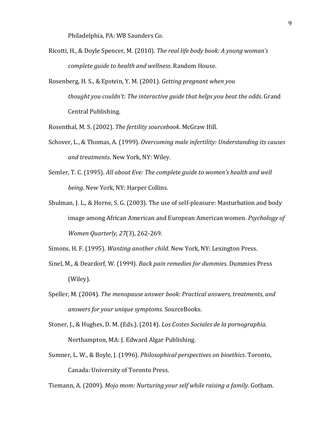Philadelphia, PA: WB Saunders Co.

- Ricotti, H., & Doyle Spencer, M. (2010). *The real life body book: A young woman's complete guide to health and wellness*. Random House.
- Rosenberg, H. S., & Epstein, Y. M. (2001). *Getting pregnant when you thought you couldn't: The interactive guide that helps you beat the odds*. Grand Central Publishing.

Rosenthal, M. S. (2002). *The fertility sourcebook*. McGraw Hill.

- Schover, L., & Thomas, A. (1999). *Overcoming male infertility: Understanding its causes and treatments*. New York, NY: Wiley.
- Semler, T. C. (1995). *All about Eve: The complete guide to women's health and well being*. New York, NY: Harper Collins.
- Shulman, J. L., & Horne, S. G. (2003). The use of self-pleasure: Masturbation and body image among African American and European American women. *Psychology of Women Quarterly, 27*(3), 262-269.

Simons, H. F. (1995). *Wanting another child*. New York, NY: Lexington Press.

- Sinel, M., & Deardorf, W. (1999). *Back pain remedies for dummies*. Dummies Press (Wiley).
- Speller, M. (2004). *The menopause answer book: Practical answers, treatments, and answers for your unique symptoms*. SourceBooks.
- Stoner, J., & Hughes, D. M. (Eds.). (2014). *Los Costes Sociales de la pornographia*. Northampton, MA: J. Edward Algar Publishing.
- Sumner, L. W., & Boyle, J. (1996). *Philosophical perspectives on bioethics*. Toronto, Canada: University of Toronto Press.

Tiemann, A. (2009). *Mojo mom: Nurturing your self while raising a family*. Gotham.